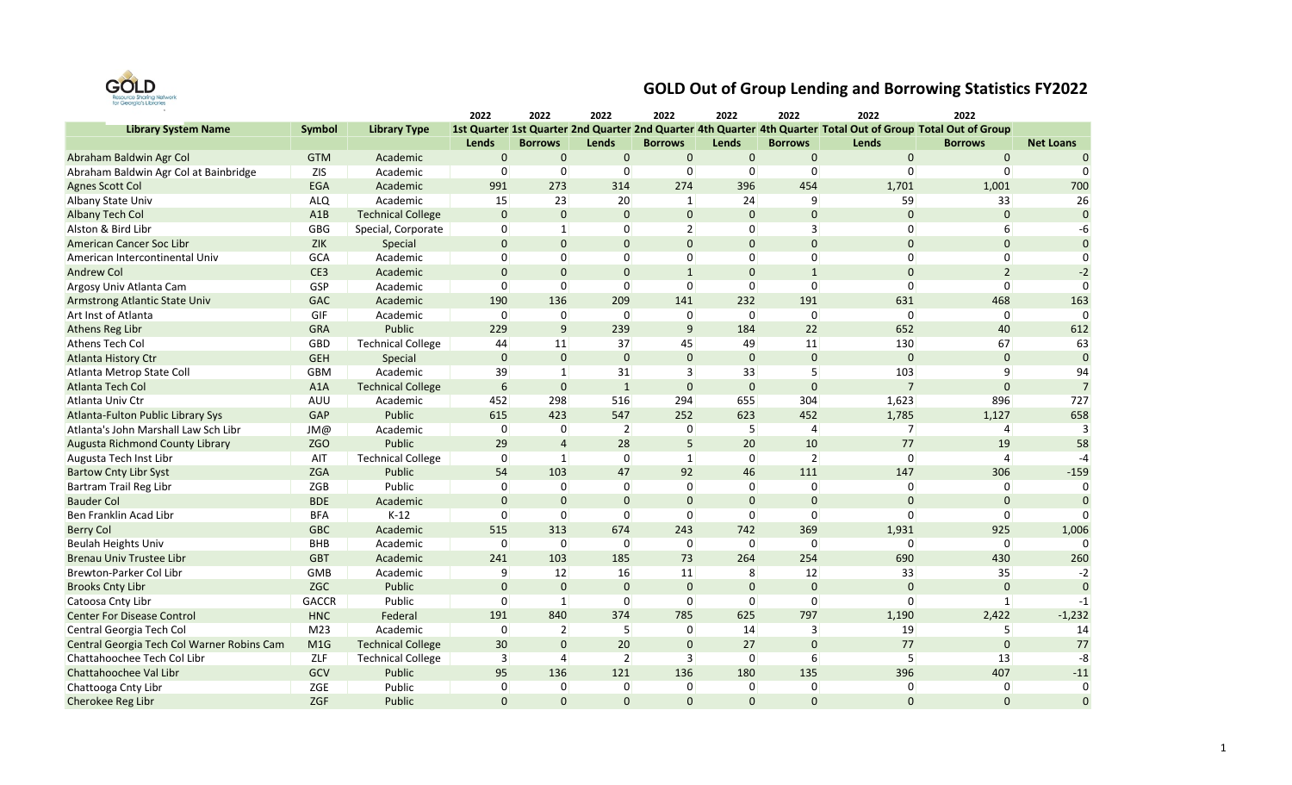

|                                            |                 |                          | 2022            | 2022           | 2022           | 2022           | 2022           | 2022           | 2022                                                                                                          | 2022                  |                  |
|--------------------------------------------|-----------------|--------------------------|-----------------|----------------|----------------|----------------|----------------|----------------|---------------------------------------------------------------------------------------------------------------|-----------------------|------------------|
| <b>Library System Name</b>                 | Symbol          | <b>Library Type</b>      |                 |                |                |                |                |                | 1st Quarter 1st Quarter 2nd Quarter 2nd Quarter 4th Quarter 4th Quarter Total Out of Group Total Out of Group |                       |                  |
|                                            |                 |                          | Lends           | <b>Borrows</b> | Lends          | <b>Borrows</b> | Lends          | <b>Borrows</b> | Lends                                                                                                         | <b>Borrows</b>        | <b>Net Loans</b> |
| Abraham Baldwin Agr Col                    | <b>GTM</b>      | Academic                 | $\mathbf 0$     | $\mathbf 0$    | $\mathbf 0$    | $\mathbf 0$    | $\mathbf 0$    | $\mathbf 0$    | $\mathbf 0$                                                                                                   | $\pmb{0}$             | $\Omega$         |
| Abraham Baldwin Agr Col at Bainbridge      | <b>ZIS</b>      | Academic                 | 0               | $\overline{0}$ | 0              | 0              | 0              | $\mathbf 0$    | 0                                                                                                             | 0                     | $\Omega$         |
| <b>Agnes Scott Col</b>                     | EGA             | Academic                 | 991             | 273            | 314            | 274            | 396            | 454            | 1,701                                                                                                         | 1,001                 | 700              |
| <b>Albany State Univ</b>                   | <b>ALQ</b>      | Academic                 | 15              | 23             | 20             | 1              | 24             | 9              | 59                                                                                                            | 33                    | 26               |
| <b>Albany Tech Col</b>                     | A1B             | <b>Technical College</b> | $\mathbf 0$     | $\mathbf 0$    | $\mathbf{0}$   | $\mathbf 0$    | $\mathbf{0}$   | $\mathbf 0$    | $\mathbf{0}$                                                                                                  | $\mathbf 0$           | $\mathbf{0}$     |
| Alston & Bird Libr                         | GBG             | Special, Corporate       | 0               | $\mathbf{1}$   | 0              | $\overline{2}$ | 0              | $\overline{3}$ | 0                                                                                                             | 6                     | $-6$             |
| American Cancer Soc Libr                   | ZIK             | Special                  | $\mathbf 0$     | $\mathbf 0$    | $\mathbf{0}$   | $\mathbf 0$    | $\mathbf 0$    | $\mathbf{0}$   | $\mathbf 0$                                                                                                   | $\mathbf{0}$          | $\Omega$         |
| American Intercontinental Univ             | GCA             | Academic                 | $\Omega$        | $\overline{0}$ | $\Omega$       | 0              | 0              | $\mathbf 0$    | $\Omega$                                                                                                      | $\overline{0}$        | $\Omega$         |
| <b>Andrew Col</b>                          | CE3             | Academic                 | $\mathbf 0$     | $\mathbf{0}$   | $\mathbf 0$    | $\mathbf{1}$   | $\mathbf{0}$   | $\mathbf{1}$   | $\Omega$                                                                                                      | $\overline{2}$        | $-2$             |
| Argosy Univ Atlanta Cam                    | GSP             | Academic                 | $\Omega$        | $\overline{0}$ | $\Omega$       | $\Omega$       | $\Omega$       | $\Omega$       | $\Omega$                                                                                                      | $\Omega$              | $\Omega$         |
| Armstrong Atlantic State Univ              | GAC             | Academic                 | 190             | 136            | 209            | 141            | 232            | 191            | 631                                                                                                           | 468                   | 163              |
| Art Inst of Atlanta                        | GIF             | Academic                 | 0               | $\overline{0}$ | 0              | 0              | 0              | $\mathbf 0$    | 0                                                                                                             | 0                     | $\Omega$         |
| Athens Reg Libr                            | GRA             | Public                   | 229             | 9              | 239            | 9              | 184            | 22             | 652                                                                                                           | 40                    | 612              |
| Athens Tech Col                            | GBD             | <b>Technical College</b> | 44              | 11             | 37             | 45             | 49             | 11             | 130                                                                                                           | 67                    | 63               |
| <b>Atlanta History Ctr</b>                 | <b>GEH</b>      | Special                  | $\bf 0$         | $\mathbf 0$    | $\pmb{0}$      | $\mathbf 0$    | $\pmb{0}$      | $\bf 0$        | $\pmb{0}$                                                                                                     | $\bf 0$               | $\Omega$         |
| Atlanta Metrop State Coll                  | <b>GBM</b>      | Academic                 | 39              | $\vert$ 1      | 31             | $\overline{3}$ | 33             | 5              | 103                                                                                                           | 9                     | 94               |
| Atlanta Tech Col                           | A1A             | <b>Technical College</b> | $6\phantom{1}6$ | $\mathbf 0$    | $\mathbf{1}$   | $\Omega$       | $\mathbf 0$    | $\mathbf{0}$   | $\overline{7}$                                                                                                | $\mathbf{0}$          | $\overline{7}$   |
| Atlanta Univ Ctr                           | AUU             | Academic                 | 452             | 298            | 516            | 294            | 655            | 304            | 1,623                                                                                                         | 896                   | 727              |
| Atlanta-Fulton Public Library Sys          | GAP             | Public                   | 615             | 423            | 547            | 252            | 623            | 452            | 1,785                                                                                                         | 1,127                 | 658              |
| Atlanta's John Marshall Law Sch Libr       | JM@             | Academic                 | 0               | $\overline{0}$ | $\overline{2}$ | 0              | 5              | 4              | $\overline{7}$                                                                                                | 4                     | $\mathbf{R}$     |
| Augusta Richmond County Library            | <b>ZGO</b>      | Public                   | 29              | $\overline{4}$ | 28             | 5              | 20             | 10             | 77                                                                                                            | 19                    | 58               |
| Augusta Tech Inst Libr                     | AIT             | <b>Technical College</b> | $\overline{0}$  | $\vert$ 1      | 0              | $\mathbf{1}$   | $\overline{0}$ | $\overline{2}$ | $\Omega$                                                                                                      | $\boldsymbol{\Delta}$ | $-4$             |
| <b>Bartow Cnty Libr Syst</b>               | <b>ZGA</b>      | Public                   | 54              | 103            | 47             | 92             | 46             | 111            | 147                                                                                                           | 306                   | $-159$           |
| Bartram Trail Reg Libr                     | ZGB             | Public                   | $\overline{0}$  | $\overline{0}$ | $\overline{0}$ | $\mathbf 0$    | $\overline{0}$ | $\mathbf 0$    | 0                                                                                                             | $\mathbf{0}$          | $\Omega$         |
| <b>Bauder Col</b>                          | <b>BDE</b>      | Academic                 | $\mathbf 0$     | $\mathbf 0$    | $\mathbf 0$    | $\mathbf 0$    | $\mathbf 0$    | $\bf 0$        | $\mathbf 0$                                                                                                   | $\mathbf 0$           | $\Omega$         |
| Ben Franklin Acad Libr                     | <b>BFA</b>      | $K-12$                   | $\mathbf 0$     | $\overline{0}$ | 0              | $\Omega$       | $\mathbf 0$    | $\mathbf 0$    | $\Omega$                                                                                                      | 0                     | $\Omega$         |
| <b>Berry Col</b>                           | <b>GBC</b>      | Academic                 | 515             | 313            | 674            | 243            | 742            | 369            | 1,931                                                                                                         | 925                   | 1,006            |
| <b>Beulah Heights Univ</b>                 | BHB             | Academic                 | $\Omega$        | $\overline{0}$ | 0              | $\Omega$       | $\Omega$       | $\Omega$       | $\Omega$                                                                                                      | $\Omega$              |                  |
| <b>Brenau Univ Trustee Libr</b>            | <b>GBT</b>      | Academic                 | 241             | 103            | 185            | 73             | 264            | 254            | 690                                                                                                           | 430                   | 260              |
| <b>Brewton-Parker Col Libr</b>             | GMB             | Academic                 | 9               | 12             | 16             | 11             | 8              | 12             | 33                                                                                                            | 35                    | $-2$             |
| <b>Brooks Cnty Libr</b>                    | ZGC             | Public                   | $\mathbf 0$     | $\mathbf 0$    | $\mathbf 0$    | $\Omega$       | $\mathbf{0}$   | $\mathbf 0$    | $\mathbf 0$                                                                                                   | $\mathbf 0$           | $\Omega$         |
| Catoosa Cnty Libr                          | <b>GACCR</b>    | Public                   | 0               | $\mathbf{1}$   | 0              | $\mathbf 0$    | 0              | $\mathbf 0$    | $\Omega$                                                                                                      | $\mathbf{1}$          | $-1$             |
| <b>Center For Disease Control</b>          | <b>HNC</b>      | Federal                  | 191             | 840            | 374            | 785            | 625            | 797            | 1,190                                                                                                         | 2,422                 | $-1,232$         |
| Central Georgia Tech Col                   | M <sub>23</sub> | Academic                 | $\overline{0}$  | $\overline{2}$ | 5 <sup>1</sup> | $\mathbf 0$    | 14             | $\overline{3}$ | 19                                                                                                            | 5 <sup>1</sup>        | 14               |
| Central Georgia Tech Col Warner Robins Cam | M1G             | <b>Technical College</b> | 30              | $\mathbf 0$    | 20             | $\mathbf 0$    | 27             | $\mathbf 0$    | 77                                                                                                            | $\mathbf 0$           | 77               |
| Chattahoochee Tech Col Libr                | ZLF             | <b>Technical College</b> | $\overline{3}$  | 4              | $\overline{2}$ | 3              | 0              | 6              | 5                                                                                                             | 13                    | -8               |
| Chattahoochee Val Libr                     | GCV             | Public                   | 95              | 136            | 121            | 136            | 180            | 135            | 396                                                                                                           | 407                   | $-11$            |
| Chattooga Cnty Libr                        | ZGE             | Public                   | $\mathbf 0$     | $\overline{0}$ | 0              | 0              | 0              | 0              | 0                                                                                                             | 0                     | $\Omega$         |
| Cherokee Reg Libr                          | ZGF             | Public                   | $\Omega$        | $\Omega$       | $\Omega$       | $\Omega$       | $\Omega$       | $\Omega$       | $\Omega$                                                                                                      | $\Omega$              | $\Omega$         |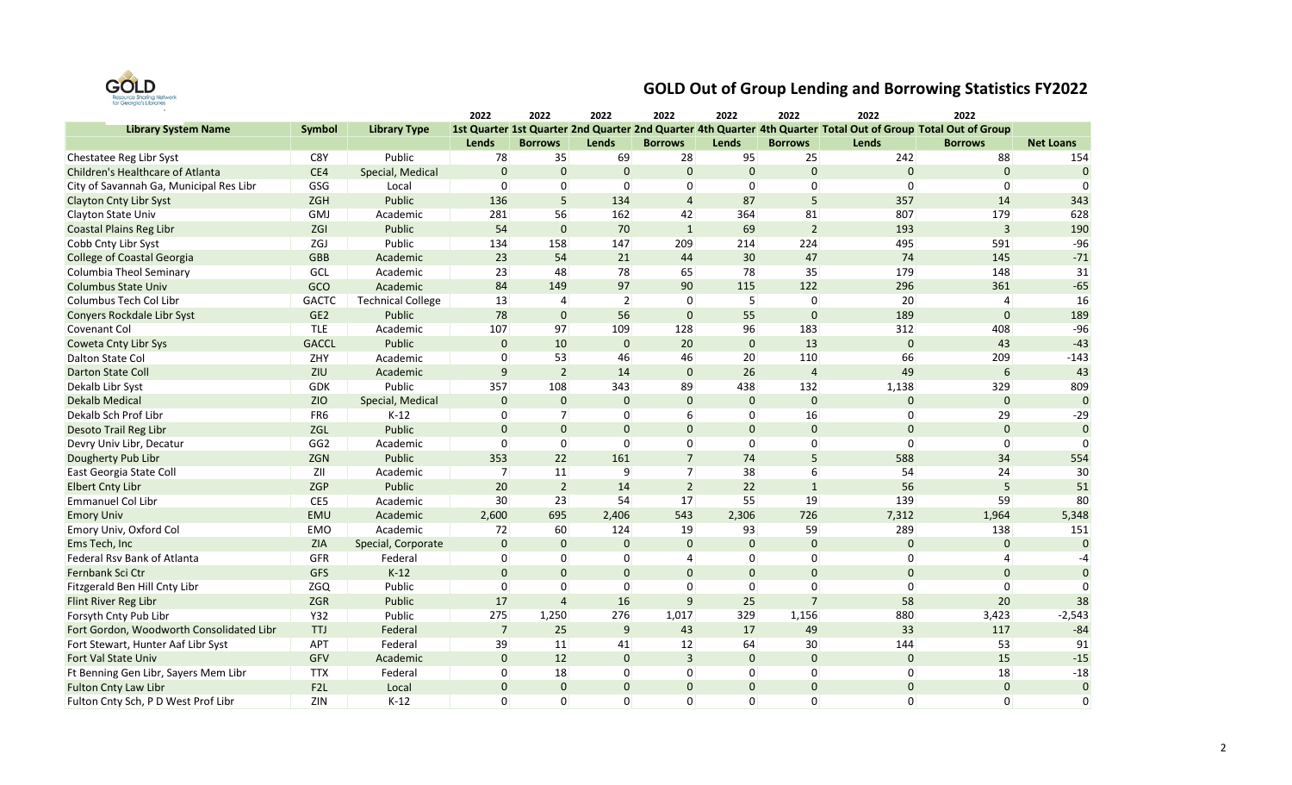

|                                          |                  |                          | 2022           | 2022           | 2022           | 2022           | 2022        | 2022           | 2022                                                                                                          | 2022           |                  |
|------------------------------------------|------------------|--------------------------|----------------|----------------|----------------|----------------|-------------|----------------|---------------------------------------------------------------------------------------------------------------|----------------|------------------|
| <b>Library System Name</b>               | <b>Symbol</b>    | <b>Library Type</b>      |                |                |                |                |             |                | 1st Quarter 1st Quarter 2nd Quarter 2nd Quarter 4th Quarter 4th Quarter Total Out of Group Total Out of Group |                |                  |
|                                          |                  |                          | Lends          | <b>Borrows</b> | Lends          | <b>Borrows</b> | Lends       | <b>Borrows</b> | Lends                                                                                                         | <b>Borrows</b> | <b>Net Loans</b> |
| Chestatee Reg Libr Syst                  | C8Y              | Public                   | 78             | 35             | 69             | 28             | 95          | 25             | 242                                                                                                           | 88             | 154              |
| Children's Healthcare of Atlanta         | CE4              | Special, Medical         | $\mathbf 0$    | $\mathbf 0$    | $\mathbf{0}$   | $\mathbf{0}$   | $\mathbf 0$ | $\pmb{0}$      | $\mathbf 0$                                                                                                   | $\bf 0$        | $\mathbf{0}$     |
| City of Savannah Ga, Municipal Res Libr  | GSG              | Local                    | 0              | $\overline{0}$ | $\overline{0}$ | $\overline{0}$ | 0           | 0              | $\Omega$                                                                                                      | 0              | $\Omega$         |
| <b>Clayton Cnty Libr Syst</b>            | <b>ZGH</b>       | Public                   | 136            | 5              | 134            | $\overline{4}$ | 87          | 5              | 357                                                                                                           | 14             | 343              |
| Clayton State Univ                       | GMJ              | Academic                 | 281            | 56             | 162            | 42             | 364         | 81             | 807                                                                                                           | 179            | 628              |
| <b>Coastal Plains Reg Libr</b>           | ZGI              | Public                   | 54             | $\mathbf{0}$   | 70             | $\mathbf{1}$   | 69          | $\overline{2}$ | 193                                                                                                           | 3              | 190              |
| Cobb Cnty Libr Syst                      | ZGJ              | Public                   | 134            | 158            | 147            | 209            | 214         | 224            | 495                                                                                                           | 591            | $-96$            |
| <b>College of Coastal Georgia</b>        | <b>GBB</b>       | Academic                 | 23             | 54             | 21             | 44             | 30          | 47             | 74                                                                                                            | 145            | $-71$            |
| Columbia Theol Seminary                  | GCL              | Academic                 | 23             | 48             | 78             | 65             | 78          | 35             | 179                                                                                                           | 148            | 31               |
| <b>Columbus State Univ</b>               | GCO              | Academic                 | 84             | 149            | 97             | 90             | 115         | 122            | 296                                                                                                           | 361            | $-65$            |
| Columbus Tech Col Libr                   | <b>GACTC</b>     | <b>Technical College</b> | 13             | 4              | $\overline{2}$ | 0              | 5           | 0              | 20                                                                                                            | 4              | 16               |
| Conyers Rockdale Libr Syst               | GE <sub>2</sub>  | Public                   | 78             | $\mathbf{0}$   | 56             | $\Omega$       | 55          | $\Omega$       | 189                                                                                                           | $\mathbf 0$    | 189              |
| Covenant Col                             | <b>TLE</b>       | Academic                 | 107            | 97             | 109            | 128            | 96          | 183            | 312                                                                                                           | 408            | $-96$            |
| <b>Coweta Cnty Libr Sys</b>              | <b>GACCL</b>     | Public                   | $\mathbf 0$    | 10             | $\mathbf 0$    | 20             | $\pmb{0}$   | 13             | $\mathbf 0$                                                                                                   | 43             | $-43$            |
| Dalton State Col                         | ZHY              | Academic                 | 0              | 53             | 46             | 46             | 20          | 110            | 66                                                                                                            | 209            | $-143$           |
| <b>Darton State Coll</b>                 | ZIU              | Academic                 | 9              | $\overline{2}$ | 14             | $\mathbf 0$    | 26          | $\overline{4}$ | 49                                                                                                            | 6              | 43               |
| Dekalb Libr Syst                         | GDK              | Public                   | 357            | 108            | 343            | 89             | 438         | 132            | 1,138                                                                                                         | 329            | 809              |
| <b>Dekalb Medical</b>                    | <b>ZIO</b>       | Special, Medical         | $\Omega$       | $\mathbf 0$    | 0              | $\Omega$       | $\Omega$    | $\mathbf{0}$   | $\Omega$                                                                                                      | $\mathbf 0$    | $\Omega$         |
| Dekalb Sch Prof Libr                     | FR <sub>6</sub>  | $K-12$                   | 0              | 7              | $\overline{0}$ | 6              | 0           | 16             | 0                                                                                                             | 29             | $-29$            |
| Desoto Trail Reg Libr                    | ZGL              | Public                   | $\Omega$       | $\mathbf{0}$   | $\Omega$       | $\Omega$       | $\Omega$    | $\mathbf{0}$   | $\Omega$                                                                                                      | $\mathbf 0$    | $\Omega$         |
| Devry Univ Libr, Decatur                 | GG <sub>2</sub>  | Academic                 | 0              | 0              | $\overline{0}$ | 0              | 0           | 0              | $\Omega$                                                                                                      | 0              | $\Omega$         |
| Dougherty Pub Libr                       | ZGN              | Public                   | 353            | 22             | 161            | $\overline{7}$ | 74          | 5              | 588                                                                                                           | 34             | 554              |
| East Georgia State Coll                  | ZII              | Academic                 | $\overline{7}$ | 11             | $\overline{9}$ | $\overline{7}$ | 38          | 6              | 54                                                                                                            | 24             | 30               |
| <b>Elbert Cnty Libr</b>                  | ZGP              | Public                   | 20             | $\overline{2}$ | 14             | $\overline{2}$ | 22          | $\mathbf{1}$   | 56                                                                                                            | 5              | 51               |
| <b>Emmanuel Col Libr</b>                 | CE5              | Academic                 | 30             | 23             | 54             | 17             | 55          | 19             | 139                                                                                                           | 59             | 80               |
| <b>Emory Univ</b>                        | <b>EMU</b>       | Academic                 | 2,600          | 695            | 2,406          | 543            | 2,306       | 726            | 7,312                                                                                                         | 1,964          | 5,348            |
| Emory Univ, Oxford Col                   | EMO              | Academic                 | 72             | 60             | 124            | 19             | 93          | 59             | 289                                                                                                           | 138            | 151              |
| Ems Tech, Inc                            | ZIA              | Special, Corporate       | $\mathbf 0$    | $\mathbf 0$    | 0              | $\mathbf 0$    | $\mathbf 0$ | $\mathbf 0$    | $\mathbf 0$                                                                                                   | $\mathbf 0$    | $\Omega$         |
| Federal Rsv Bank of Atlanta              | GFR              | Federal                  | 0              | $\overline{0}$ | $\overline{0}$ | $\overline{4}$ | 0           | 0              | 0                                                                                                             | 4              | $-4$             |
| Fernbank Sci Ctr                         | GFS              | $K-12$                   | $\mathbf{0}$   | $\mathbf 0$    | 0              | $\mathbf{0}$   | $\mathbf 0$ | $\mathbf 0$    | $\mathbf 0$                                                                                                   | $\mathbf 0$    | $\Omega$         |
| Fitzgerald Ben Hill Cnty Libr            | ZGQ              | Public                   | 0              | $\mathbf 0$    | $\overline{0}$ | 0              | 0           | 0              | $\Omega$                                                                                                      | $\Omega$       | 0                |
| Flint River Reg Libr                     | ZGR              | Public                   | 17             | $\overline{4}$ | 16             | $\overline{9}$ | 25          | $\overline{7}$ | 58                                                                                                            | 20             | 38               |
| Forsyth Cnty Pub Libr                    | Y32              | Public                   | 275            | 1,250          | 276            | 1,017          | 329         | 1,156          | 880                                                                                                           | 3,423          | $-2,543$         |
| Fort Gordon, Woodworth Consolidated Libr | TTJ              | Federal                  | $\overline{7}$ | 25             | 9              | 43             | 17          | 49             | 33                                                                                                            | 117            | $-84$            |
| Fort Stewart, Hunter Aaf Libr Syst       | APT              | Federal                  | 39             | 11             | 41             | 12             | 64          | 30             | 144                                                                                                           | 53             | 91               |
| Fort Val State Univ                      | GFV              | Academic                 | $\mathbf{0}$   | 12             | 0              | $\overline{3}$ | $\mathbf 0$ | $\pmb{0}$      | $\pmb{0}$                                                                                                     | 15             | $-15$            |
| Ft Benning Gen Libr, Sayers Mem Libr     | <b>TTX</b>       | Federal                  | 0              | 18             | $\overline{0}$ | 0              | 0           | 0              | 0                                                                                                             | 18             | $-18$            |
| <b>Fulton Cnty Law Libr</b>              | F <sub>2</sub> L | Local                    | $\pmb{0}$      | $\pmb{0}$      | 0              | $\mathbf{0}$   | $\pmb{0}$   | $\pmb{0}$      | $\mathbf 0$                                                                                                   | $\pmb{0}$      | $\mathbf 0$      |
| Fulton Cnty Sch, P D West Prof Libr      | ZIN              | $K-12$                   | $\Omega$       | $\Omega$       | $\Omega$       | $\Omega$       | $\Omega$    | $\Omega$       | $\Omega$                                                                                                      | $\Omega$       | $\Omega$         |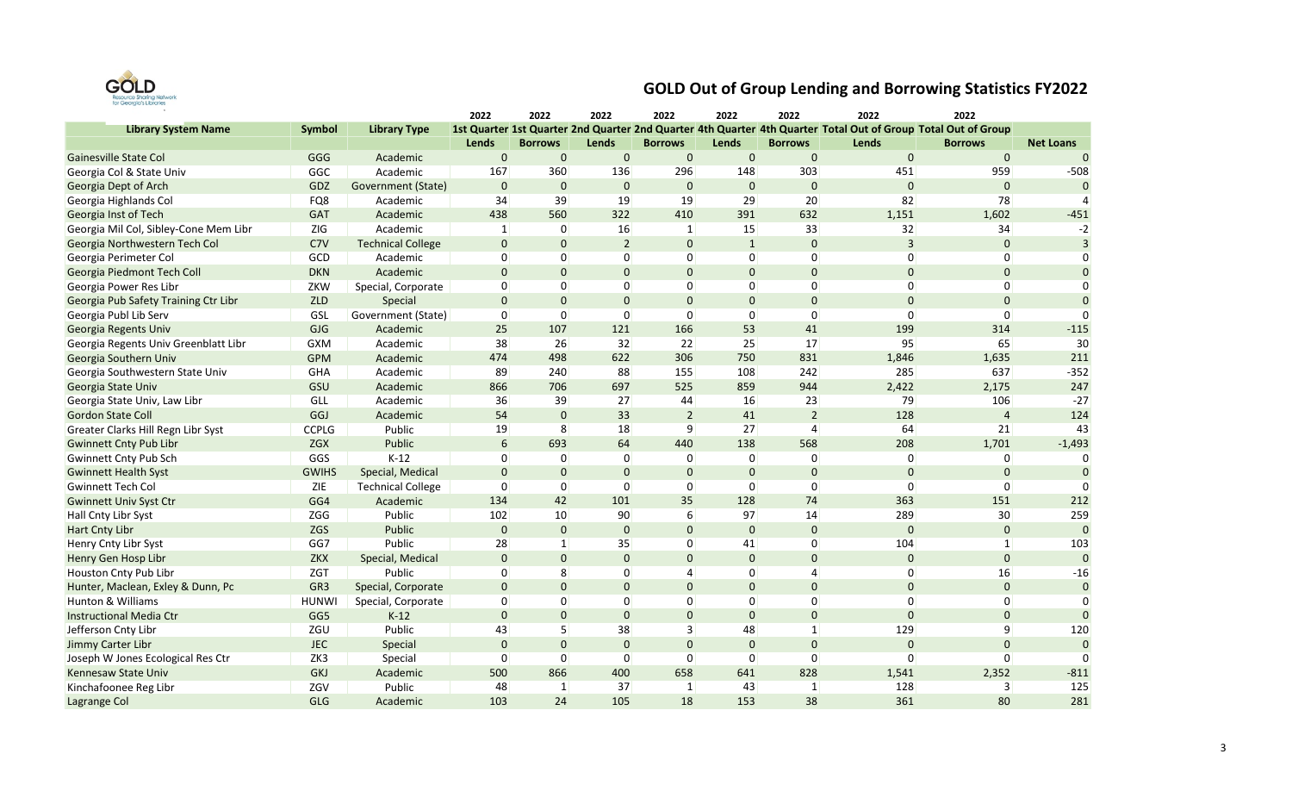

|                                       |                 |                          | 2022           | 2022           | 2022           | 2022           | 2022           | 2022           | 2022                                                                                                          | 2022           |                  |
|---------------------------------------|-----------------|--------------------------|----------------|----------------|----------------|----------------|----------------|----------------|---------------------------------------------------------------------------------------------------------------|----------------|------------------|
| <b>Library System Name</b>            | Symbol          | <b>Library Type</b>      |                |                |                |                |                |                | 1st Quarter 1st Quarter 2nd Quarter 2nd Quarter 4th Quarter 4th Quarter Total Out of Group Total Out of Group |                |                  |
|                                       |                 |                          | Lends          | <b>Borrows</b> | Lends          | <b>Borrows</b> | Lends          | <b>Borrows</b> | Lends                                                                                                         | <b>Borrows</b> | <b>Net Loans</b> |
| Gainesville State Col                 | GGG             | Academic                 | $\mathbf{0}$   | $\mathbf 0$    | $\mathbf 0$    | $\mathbf 0$    | $\mathbf 0$    | $\mathbf 0$    | $\mathbf{0}$                                                                                                  | $\mathbf 0$    | $\Omega$         |
| Georgia Col & State Univ              | GGC             | Academic                 | 167            | 360            | 136            | 296            | 148            | 303            | 451                                                                                                           | 959            | $-508$           |
| Georgia Dept of Arch                  | GDZ             | Government (State)       | $\mathbf 0$    | $\mathbf 0$    | $\mathbf 0$    | $\mathbf 0$    | $\mathbf{0}$   | $\mathbf{0}$   | $\Omega$                                                                                                      | $\mathbf{0}$   | $\Omega$         |
| Georgia Highlands Col                 | FQ8             | Academic                 | 34             | 39             | 19             | 19             | 29             | 20             | 82                                                                                                            | 78             |                  |
| Georgia Inst of Tech                  | GAT             | Academic                 | 438            | 560            | 322            | 410            | 391            | 632            | 1,151                                                                                                         | 1,602          | $-451$           |
| Georgia Mil Col, Sibley-Cone Mem Libr | ZIG             | Academic                 | $\mathbf{1}$   | $\mathbf{0}$   | 16             | $\mathbf{1}$   | 15             | 33             | 32                                                                                                            | 34             | $-2$             |
| Georgia Northwestern Tech Col         | C7V             | <b>Technical College</b> | $\mathbf 0$    | $\mathbf 0$    | $\overline{2}$ | $\Omega$       | $\mathbf{1}$   | $\mathbf{0}$   | $\overline{3}$                                                                                                | $\mathbf{0}$   | $\overline{3}$   |
| Georgia Perimeter Col                 | GCD             | Academic                 | $\Omega$       | $\overline{0}$ | 0              | $\Omega$       | $\Omega$       | $\Omega$       | $\Omega$                                                                                                      | $\Omega$       | $\Omega$         |
| Georgia Piedmont Tech Coll            | <b>DKN</b>      | Academic                 | $\mathbf{0}$   | $\mathbf 0$    | $\mathbf 0$    | $\overline{0}$ | $\pmb{0}$      | $\mathbf 0$    | $\mathbf 0$                                                                                                   | $\mathbf 0$    | $\mathbf{0}$     |
| Georgia Power Res Libr                | ZKW             | Special, Corporate       | $\overline{0}$ | $\overline{0}$ | $\overline{0}$ | $\mathbf 0$    | $\mathbf 0$    | $\mathbf 0$    | 0                                                                                                             | $\overline{0}$ | $\Omega$         |
| Georgia Pub Safety Training Ctr Libr  | ZLD             | Special                  | $\bf 0$        | $\mathbf 0$    | $\mathbf 0$    | $\Omega$       | $\pmb{0}$      | $\bf 0$        | $\mathbf{0}$                                                                                                  | $\pmb{0}$      | $\Omega$         |
| Georgia Publ Lib Serv                 | GSL             | Government (State)       | $\overline{0}$ | $\overline{0}$ | 0              | $\Omega$       | $\overline{0}$ | $\mathbf 0$    | $\Omega$                                                                                                      | $\Omega$       | $\Omega$         |
| Georgia Regents Univ                  | GJG             | Academic                 | 25             | 107            | 121            | 166            | 53             | 41             | 199                                                                                                           | 314            | $-115$           |
| Georgia Regents Univ Greenblatt Libr  | <b>GXM</b>      | Academic                 | 38             | 26             | 32             | 22             | 25             | 17             | 95                                                                                                            | 65             | 30               |
| Georgia Southern Univ                 | <b>GPM</b>      | Academic                 | 474            | 498            | 622            | 306            | 750            | 831            | 1,846                                                                                                         | 1,635          | 211              |
| Georgia Southwestern State Univ       | GHA             | Academic                 | 89             | 240            | 88             | 155            | 108            | 242            | 285                                                                                                           | 637            | $-352$           |
| Georgia State Univ                    | GSU             | Academic                 | 866            | 706            | 697            | 525            | 859            | 944            | 2,422                                                                                                         | 2,175          | 247              |
| Georgia State Univ, Law Libr          | GLL             | Academic                 | 36             | 39             | 27             | 44             | 16             | 23             | 79                                                                                                            | 106            | $-27$            |
| <b>Gordon State Coll</b>              | GGJ             | Academic                 | 54             | $\mathbf 0$    | 33             | $\overline{2}$ | 41             | $\overline{2}$ | 128                                                                                                           | $\overline{4}$ | 124              |
| Greater Clarks Hill Regn Libr Syst    | <b>CCPLG</b>    | Public                   | 19             | 8              | 18             | 9              | 27             | $\overline{4}$ | 64                                                                                                            | 21             | 43               |
| <b>Gwinnett Cnty Pub Libr</b>         | ZGX             | Public                   | 6              | 693            | 64             | 440            | 138            | 568            | 208                                                                                                           | 1,701          | $-1,493$         |
| Gwinnett Cnty Pub Sch                 | GGS             | $K-12$                   | 0              | $\overline{0}$ | 0              | $\Omega$       | $\mathbf 0$    | $\mathbf 0$    | 0                                                                                                             | $\overline{0}$ | $\Omega$         |
| <b>Gwinnett Health Syst</b>           | <b>GWIHS</b>    | Special, Medical         | $\mathbf 0$    | $\mathbf 0$    | $\mathbf{0}$   | $\Omega$       | $\mathbf{0}$   | $\mathbf{0}$   | $\mathbf{0}$                                                                                                  | $\mathbf 0$    |                  |
| <b>Gwinnett Tech Col</b>              | ZIE             | <b>Technical College</b> | $\overline{0}$ | $\overline{0}$ | $\overline{0}$ | $\Omega$       | 0              | $\mathbf 0$    | 0                                                                                                             | $\overline{0}$ | n                |
| <b>Gwinnett Univ Syst Ctr</b>         | GG4             | Academic                 | 134            | 42             | 101            | 35             | 128            | 74             | 363                                                                                                           | 151            | 212              |
| Hall Cnty Libr Syst                   | ZGG             | Public                   | 102            | 10             | 90             | 6              | 97             | 14             | 289                                                                                                           | 30             | 259              |
| <b>Hart Cnty Libr</b>                 | <b>ZGS</b>      | Public                   | $\mathbf 0$    | $\mathbf 0$    | $\mathbf 0$    | $\Omega$       | $\mathbf{0}$   | $\mathbf{0}$   | $\Omega$                                                                                                      | $\mathbf 0$    | $\Omega$         |
| Henry Cnty Libr Syst                  | GG7             | Public                   | 28             | $\mathbf{1}$   | 35             | $\mathbf 0$    | 41             | $\mathbf 0$    | 104                                                                                                           | 1              | 103              |
| Henry Gen Hosp Libr                   | ZKX             | Special, Medical         | $\mathbf 0$    | $\mathbf 0$    | $\mathbf{0}$   | $\Omega$       | $\Omega$       | $\bf 0$        | $\mathbf{0}$                                                                                                  | $\mathbf 0$    | $\Omega$         |
| Houston Cnty Pub Libr                 | ZGT             | Public                   | 0              | 8              | 0              | $\overline{a}$ | $\mathbf 0$    | $\overline{4}$ | $\Omega$                                                                                                      | 16             | $-16$            |
| Hunter, Maclean, Exley & Dunn, Pc     | GR <sub>3</sub> | Special, Corporate       | $\mathbf 0$    | $\mathbf 0$    | $\Omega$       | $\Omega$       | $\mathbf{0}$   | $\mathbf{0}$   | $\Omega$                                                                                                      | $\mathbf{0}$   | $\mathbf{0}$     |
| <b>Hunton &amp; Williams</b>          | <b>HUNWI</b>    | Special, Corporate       | $\Omega$       | $\overline{0}$ | 0              | $\mathbf{0}$   | $\Omega$       | 0              | $\Omega$                                                                                                      | $\Omega$       | $\Omega$         |
| <b>Instructional Media Ctr</b>        | GG5             | $K-12$                   | $\mathbf 0$    | $\mathbf 0$    | $\mathbf 0$    | $\Omega$       | $\mathbf{0}$   | $\mathbf{0}$   | $\Omega$                                                                                                      | $\mathbf 0$    | $\Omega$         |
| Jefferson Cnty Libr                   | ZGU             | Public                   | 43             | 5              | 38             | 3              | 48             | $\mathbf{1}$   | 129                                                                                                           | 9              | 120              |
| Jimmy Carter Libr                     | <b>JEC</b>      | Special                  | $\bf 0$        | $\mathbf 0$    | $\pmb{0}$      | $\Omega$       | $\pmb{0}$      | $\bf 0$        | $\mathbf 0$                                                                                                   | $\mathbf{0}$   | $\Omega$         |
| Joseph W Jones Ecological Res Ctr     | ZK3             | Special                  | $\mathbf 0$    | $\overline{0}$ | 0              | $\Omega$       | $\mathbf 0$    | $\mathbf 0$    | $\Omega$                                                                                                      | $\Omega$       | $\Omega$         |
| Kennesaw State Univ                   | <b>GKJ</b>      | Academic                 | 500            | 866            | 400            | 658            | 641            | 828            | 1,541                                                                                                         | 2,352          | $-811$           |
| Kinchafoonee Reg Libr                 | ZGV             | Public                   | 48             | $\mathbf{1}$   | 37             | $\mathbf{1}$   | 43             | $\mathbf{1}$   | 128                                                                                                           | 3              | 125              |
| Lagrange Col                          | GLG             | Academic                 | 103            | 24             | 105            | 18             | 153            | 38             | 361                                                                                                           | 80             | 281              |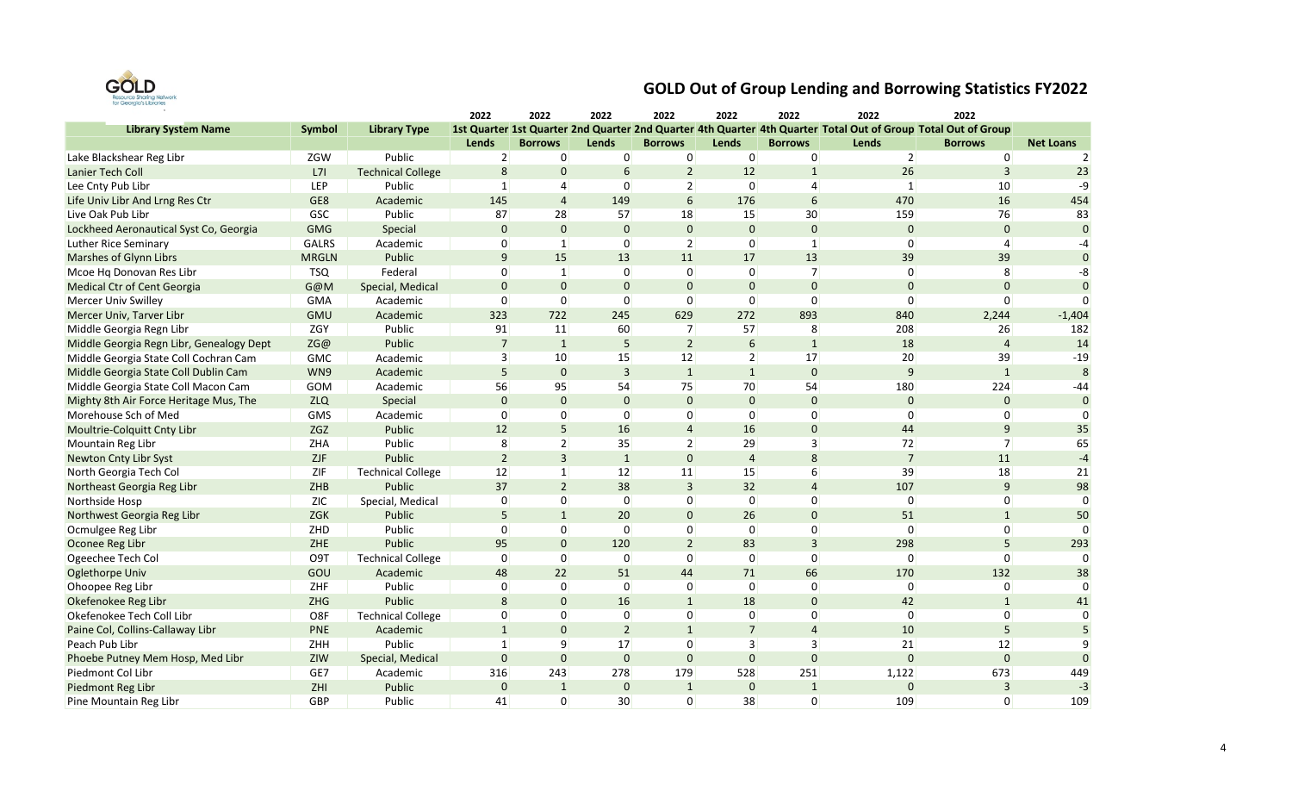

|                                          |              |                          | 2022           | 2022           | 2022            | 2022           | 2022            | 2022           | 2022                                                                                                          | 2022           |                  |
|------------------------------------------|--------------|--------------------------|----------------|----------------|-----------------|----------------|-----------------|----------------|---------------------------------------------------------------------------------------------------------------|----------------|------------------|
| <b>Library System Name</b>               | Symbol       | <b>Library Type</b>      |                |                |                 |                |                 |                | 1st Quarter 1st Quarter 2nd Quarter 2nd Quarter 4th Quarter 4th Quarter Total Out of Group Total Out of Group |                |                  |
|                                          |              |                          | Lends          | <b>Borrows</b> | Lends           | <b>Borrows</b> | Lends           | <b>Borrows</b> | Lends                                                                                                         | <b>Borrows</b> | <b>Net Loans</b> |
| Lake Blackshear Reg Libr                 | ZGW          | Public                   | $\overline{2}$ | $\overline{0}$ | $\overline{0}$  | $\mathbf 0$    | $\overline{0}$  | $\overline{0}$ | $\overline{2}$                                                                                                | $\overline{0}$ | $\overline{2}$   |
| Lanier Tech Coll                         | L7I          | <b>Technical College</b> | 8              | $\mathbf 0$    | 6               | $\overline{2}$ | 12              | $\overline{1}$ | 26                                                                                                            | $\overline{3}$ | 23               |
| Lee Cnty Pub Libr                        | LEP          | Public                   | $\mathbf{1}$   | $\overline{4}$ | $\Omega$        | $\overline{2}$ | $\Omega$        | $\overline{4}$ | $\mathbf{1}$                                                                                                  | 10             | -9               |
| Life Univ Libr And Lrng Res Ctr          | GE8          | Academic                 | 145            | $\overline{4}$ | 149             | 6              | 176             | 6              | 470                                                                                                           | 16             | 454              |
| Live Oak Pub Libr                        | GSC          | Public                   | 87             | 28             | 57              | 18             | 15              | 30             | 159                                                                                                           | 76             | 83               |
| Lockheed Aeronautical Syst Co, Georgia   | <b>GMG</b>   | Special                  | $\mathbf 0$    | $\mathbf 0$    | $\mathbf{0}$    | $\mathbf 0$    | $\mathbf{0}$    | $\mathbf 0$    | $\mathbf{0}$                                                                                                  | $\bf 0$        | $\Omega$         |
| Luther Rice Seminary                     | <b>GALRS</b> | Academic                 | $\overline{0}$ | $\mathbf{1}$   | $\overline{0}$  | $\overline{2}$ | 0               | $\mathbf{1}$   | $\Omega$                                                                                                      | $\overline{4}$ | -4               |
| Marshes of Glynn Librs                   | <b>MRGLN</b> | Public                   | 9              | 15             | 13              | 11             | 17              | 13             | 39                                                                                                            | 39             | $\Omega$         |
| Mcoe Hq Donovan Res Libr                 | <b>TSQ</b>   | Federal                  | $\overline{0}$ | $\vert$ 1      | 0               | $\Omega$       | $\mathbf 0$     | $\overline{7}$ | $\Omega$                                                                                                      | 8              | -8               |
| Medical Ctr of Cent Georgia              | G@M          | Special, Medical         | $\mathbf 0$    | $\mathbf{0}$   | $\mathbf{0}$    | $\mathbf 0$    | $\mathbf 0$     | $\mathbf 0$    | $\mathbf 0$                                                                                                   | $\mathbf 0$    | $\Omega$         |
| Mercer Univ Swilley                      | <b>GMA</b>   | Academic                 | $\mathbf 0$    | $\overline{0}$ | $\Omega$        | $\Omega$       | 0               | $\Omega$       | $\Omega$                                                                                                      | $\Omega$       | n                |
| Mercer Univ, Tarver Libr                 | <b>GMU</b>   | Academic                 | 323            | 722            | 245             | 629            | 272             | 893            | 840                                                                                                           | 2,244          | $-1,404$         |
| Middle Georgia Regn Libr                 | ZGY          | Public                   | 91             | 11             | 60              | $\overline{7}$ | 57              | 8              | 208                                                                                                           | 26             | 182              |
| Middle Georgia Regn Libr, Genealogy Dept | ZG@          | Public                   | $\overline{7}$ | $\mathbf{1}$   | 5               | $\overline{2}$ | $6\phantom{1}6$ | $\mathbf{1}$   | 18                                                                                                            | $\overline{4}$ | 14               |
| Middle Georgia State Coll Cochran Cam    | GMC          | Academic                 | 3              | 10             | 15              | 12             | $\overline{2}$  | 17             | 20                                                                                                            | 39             | $-19$            |
| Middle Georgia State Coll Dublin Cam     | WN9          | Academic                 | 5              | $\mathbf{0}$   | $\overline{3}$  | $\mathbf{1}$   | $\mathbf{1}$    | $\mathbf{0}$   | $\mathsf{q}$                                                                                                  | $\mathbf{1}$   | 8                |
| Middle Georgia State Coll Macon Cam      | GOM          | Academic                 | 56             | 95             | 54              | 75             | 70              | 54             | 180                                                                                                           | 224            | $-44$            |
| Mighty 8th Air Force Heritage Mus, The   | <b>ZLQ</b>   | Special                  | $\mathbf 0$    | $\mathbf 0$    | $\mathbf{0}$    | $\Omega$       | $\mathbf{0}$    | $\mathbf 0$    | $\Omega$                                                                                                      | $\mathbf{0}$   | $\mathbf{0}$     |
| Morehouse Sch of Med                     | GMS          | Academic                 | $\overline{0}$ | $\overline{0}$ | $\overline{0}$  | 0              | 0               | $\mathbf 0$    | 0                                                                                                             | 0              | $\Omega$         |
| Moultrie-Colquitt Cnty Libr              | ZGZ          | Public                   | 12             | 5              | 16              | $\overline{4}$ | 16              | $\mathbf 0$    | 44                                                                                                            | $\mathsf 9$    | 35               |
| Mountain Reg Libr                        | <b>ZHA</b>   | Public                   | 8              | $\overline{2}$ | 35              | $\overline{2}$ | 29              | $\overline{3}$ | 72                                                                                                            | 7              | 65               |
| Newton Cnty Libr Syst                    | <b>ZJF</b>   | Public                   | $\overline{2}$ | $\overline{3}$ | $\mathbf{1}$    | $\Omega$       | $\overline{4}$  | 8              | $\overline{7}$                                                                                                | 11             | $-4$             |
| North Georgia Tech Col                   | ZIF          | <b>Technical College</b> | 12             | $\vert$ 1      | 12              | 11             | 15              | 6              | 39                                                                                                            | 18             | 21               |
| Northeast Georgia Reg Libr               | ZHB          | Public                   | 37             | $\overline{2}$ | 38              | $\overline{3}$ | 32              | $\overline{4}$ | 107                                                                                                           | $\mathsf 9$    | 98               |
| Northside Hosp                           | <b>ZIC</b>   | Special, Medical         | $\mathbf 0$    | $\overline{0}$ | $\overline{0}$  | $\Omega$       | 0               | 0              | $\Omega$                                                                                                      | 0              | $\Omega$         |
| Northwest Georgia Reg Libr               | ZGK          | Public                   | 5              | $\mathbf{1}$   | 20              | $\mathbf 0$    | 26              | $\mathbf 0$    | 51                                                                                                            | $\mathbf{1}$   | 50               |
| Ocmulgee Reg Libr                        | ZHD          | Public                   | $\overline{0}$ | $\overline{0}$ | $\mathbf 0$     | 0              | $\mathbf 0$     | 0              | $\Omega$                                                                                                      | $\overline{0}$ | $\Omega$         |
| Oconee Reg Libr                          | ZHE          | Public                   | 95             | $\mathbf{0}$   | 120             | $\overline{2}$ | 83              | $\overline{3}$ | 298                                                                                                           | 5              | 293              |
| Ogeechee Tech Col                        | O9T          | <b>Technical College</b> | $\overline{0}$ | $\overline{0}$ | $\overline{0}$  | $\Omega$       | 0               | $\mathbf 0$    | $\Omega$                                                                                                      | $\Omega$       | $\Omega$         |
| <b>Oglethorpe Univ</b>                   | GOU          | Academic                 | 48             | 22             | 51              | 44             | 71              | 66             | 170                                                                                                           | 132            | 38               |
| Ohoopee Reg Libr                         | ZHF          | Public                   | $\overline{0}$ | $\overline{0}$ | $\overline{0}$  | 0              | 0               | $\mathbf 0$    | 0                                                                                                             | 0              | $\Omega$         |
| Okefenokee Reg Libr                      | ZHG          | Public                   | 8              | $\mathbf{0}$   | 16              | $\mathbf{1}$   | 18              | $\mathbf 0$    | 42                                                                                                            | $\mathbf{1}$   | 41               |
| Okefenokee Tech Coll Libr                | O8F          | <b>Technical College</b> | $\overline{0}$ | $\overline{0}$ | $\overline{0}$  | 0              | 0               | $\mathbf 0$    | 0                                                                                                             | 0              | $\Omega$         |
| Paine Col, Collins-Callaway Libr         | <b>PNE</b>   | Academic                 | $\mathbf{1}$   | $\mathbf{0}$   | $\overline{2}$  | $\mathbf{1}$   | $\overline{7}$  | $\overline{4}$ | 10                                                                                                            | 5              |                  |
| Peach Pub Libr                           | ZHH          | Public                   | $\mathbf{1}$   | 9              | 17              | $\Omega$       | 3               | 3              | 21                                                                                                            | 12             |                  |
| Phoebe Putney Mem Hosp, Med Libr         | ZIW          | Special, Medical         | $\mathbf 0$    | $\pmb{0}$      | $\pmb{0}$       | $\Omega$       | $\mathbf 0$     | $\mathbf 0$    | $\mathbf 0$                                                                                                   | $\mathbf{0}$   | $\mathbf{0}$     |
| Piedmont Col Libr                        | GE7          | Academic                 | 316            | 243            | 278             | 179            | 528             | 251            | 1,122                                                                                                         | 673            | 449              |
| Piedmont Reg Libr                        | ZHI          | Public                   | $\mathbf 0$    | $\mathbf{1}$   | $\mathbf 0$     | $\mathbf{1}$   | $\mathbf 0$     | $\mathbf{1}$   | $\mathbf 0$                                                                                                   | $\overline{3}$ | $-3$             |
| Pine Mountain Reg Libr                   | GBP          | Public                   | 41             | $\overline{0}$ | 30 <sup>°</sup> | $\Omega$       | 38              | $\Omega$       | 109                                                                                                           | $\Omega$       | 109              |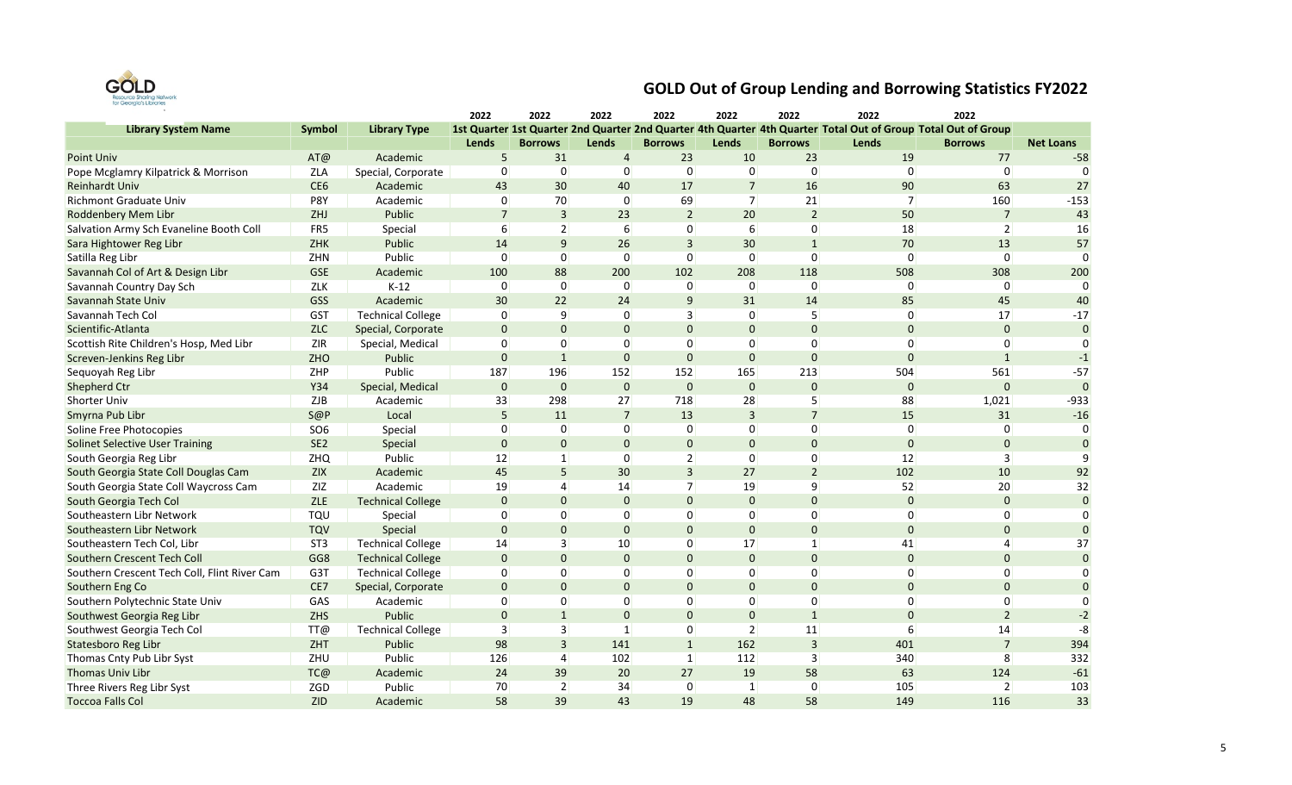

|                                              |                 |                          | 2022           | 2022              | 2022           | 2022           | 2022             | 2022           | 2022                                                                                                          | 2022           |                  |
|----------------------------------------------|-----------------|--------------------------|----------------|-------------------|----------------|----------------|------------------|----------------|---------------------------------------------------------------------------------------------------------------|----------------|------------------|
| <b>Library System Name</b>                   | Symbol          | <b>Library Type</b>      |                |                   |                |                |                  |                | 1st Quarter 1st Quarter 2nd Quarter 2nd Quarter 4th Quarter 4th Quarter Total Out of Group Total Out of Group |                |                  |
|                                              |                 |                          | Lends          | <b>Borrows</b>    | Lends          | <b>Borrows</b> | Lends            | <b>Borrows</b> | Lends                                                                                                         | <b>Borrows</b> | <b>Net Loans</b> |
| Point Univ                                   | AT@             | Academic                 | 5              | 31                | $\overline{4}$ | 23             | 10               | 23             | 19                                                                                                            | 77             | $-58$            |
| Pope Mcglamry Kilpatrick & Morrison          | ZLA             | Special, Corporate       | 0              | $\overline{0}$    | 0              | 0              | 0                | $\mathbf 0$    | $\Omega$                                                                                                      | 0              | $\Omega$         |
| <b>Reinhardt Univ</b>                        | CE <sub>6</sub> | Academic                 | 43             | 30                | 40             | 17             | $\overline{7}$   | 16             | 90                                                                                                            | 63             | 27               |
| <b>Richmont Graduate Univ</b>                | P8Y             | Academic                 | 0              | 70                | 0              | 69             | 7 <sup>1</sup>   | 21             | $\overline{7}$                                                                                                | 160            | $-153$           |
| Roddenbery Mem Libr                          | ZHJ             | Public                   | $\overline{7}$ | $\overline{3}$    | 23             | $\overline{2}$ | 20               | $\overline{2}$ | 50                                                                                                            | $\overline{7}$ | 43               |
| Salvation Army Sch Evaneline Booth Coll      | FR5             | Special                  | 6              | $\overline{2}$    | 6              | 0              | $6 \overline{6}$ | $\mathbf 0$    | 18                                                                                                            | $\overline{2}$ | 16               |
| Sara Hightower Reg Libr                      | ZHK             | Public                   | 14             | 9                 | 26             | $\overline{3}$ | 30               | $\mathbf{1}$   | 70                                                                                                            | 13             | 57               |
| Satilla Reg Libr                             | ZHN             | Public                   | $\Omega$       | $\overline{0}$    | 0              | $\Omega$       | 0                | $\mathbf 0$    | $\Omega$                                                                                                      | $\Omega$       | $\Omega$         |
| Savannah Col of Art & Design Libr            | <b>GSE</b>      | Academic                 | 100            | 88                | 200            | 102            | 208              | 118            | 508                                                                                                           | 308            | 200              |
| Savannah Country Day Sch                     | ZLK             | $K-12$                   | $\Omega$       | $\overline{0}$    | $\Omega$       | $\Omega$       | $\Omega$         | $\Omega$       | $\Omega$                                                                                                      | $\overline{0}$ | $\Omega$         |
| Savannah State Univ                          | GSS             | Academic                 | 30             | 22                | 24             | 9              | 31               | 14             | 85                                                                                                            | 45             | 40               |
| Savannah Tech Col                            | <b>GST</b>      | <b>Technical College</b> | 0              | 9                 | 0              | 3              | 0                | 5              | 0                                                                                                             | 17             | $-17$            |
| Scientific-Atlanta                           | <b>ZLC</b>      | Special, Corporate       | $\mathbf 0$    | $\mathbf 0$       | $\mathbf 0$    | $\Omega$       | $\mathbf{0}$     | $\mathbf{0}$   | $\mathbf{0}$                                                                                                  | $\mathbf 0$    | $\mathbf{0}$     |
| Scottish Rite Children's Hosp, Med Libr      | $ZIR$           | Special, Medical         | 0              | $\overline{0}$    | 0              | $\mathbf 0$    | 0                | $\mathbf 0$    | 0                                                                                                             | 0              |                  |
| Screven-Jenkins Reg Libr                     | ZHO             | Public                   | $\bf 0$        | $\mathbf{1}$      | $\mathbf{0}$   | $\Omega$       | $\pmb{0}$        | $\bf 0$        | $\Omega$                                                                                                      | $\mathbf{1}$   | $-1$             |
| Sequoyah Reg Libr                            | ZHP             | Public                   | 187            | 196               | 152            | 152            | 165              | 213            | 504                                                                                                           | 561            | $-57$            |
| Shepherd Ctr                                 | Y34             | Special, Medical         | $\mathbf 0$    | $\mathbf 0$       | $\mathbf{0}$   | $\mathbf 0$    | $\mathbf{0}$     | $\mathbf{0}$   | $\mathbf{0}$                                                                                                  | $\mathbf 0$    | $\Omega$         |
| <b>Shorter Univ</b>                          | ZJB             | Academic                 | 33             | 298               | 27             | 718            | 28               | 5              | 88                                                                                                            | 1,021          | $-933$           |
| Smyrna Pub Libr                              | S@P             | Local                    | 5              | 11                | $\overline{7}$ | 13             | 3                | $\overline{7}$ | 15                                                                                                            | 31             | $-16$            |
| Soline Free Photocopies                      | SO <sub>6</sub> | Special                  | $\overline{0}$ | $\overline{0}$    | $\overline{0}$ | 0              | 0                | $\mathbf 0$    | 0                                                                                                             | $\overline{0}$ | $\Omega$         |
| <b>Solinet Selective User Training</b>       | SE <sub>2</sub> | Special                  | $\mathbf 0$    | $\mathbf 0$       | $\Omega$       | $\Omega$       | $\mathbf{0}$     | $\mathbf{0}$   | $\Omega$                                                                                                      | $\mathbf{0}$   | $\Omega$         |
| South Georgia Reg Libr                       | ZHQ             | Public                   | 12             | $\vert$ 1         | 0              | $\overline{2}$ | 0                | $\mathbf 0$    | 12                                                                                                            | 3              | q                |
| South Georgia State Coll Douglas Cam         | ZIX             | Academic                 | 45             | 5                 | 30             | $\overline{3}$ | 27               | $\overline{2}$ | 102                                                                                                           | 10             | 92               |
| South Georgia State Coll Waycross Cam        | ZIZ             | Academic                 | 19             | $\overline{4}$    | 14             | $\overline{7}$ | 19               | 9              | 52                                                                                                            | 20             | 32               |
| South Georgia Tech Col                       | <b>ZLE</b>      | <b>Technical College</b> | $\mathbf 0$    | $\mathbf 0$       | $\mathbf{0}$   | $\Omega$       | $\mathbf 0$      | $\bf 0$        | $\mathbf 0$                                                                                                   | $\pmb{0}$      | $\Omega$         |
| Southeastern Libr Network                    | TQU             | Special                  | 0              | $\overline{0}$    | 0              | $\mathbf 0$    | $\mathbf 0$      | $\mathbf 0$    | 0                                                                                                             | 0              | $\Omega$         |
| Southeastern Libr Network                    | TQV             | Special                  | $\mathbf 0$    | $\mathbf 0$       | $\mathbf 0$    | $\Omega$       | $\mathbf 0$      | $\mathbf 0$    | $\Omega$                                                                                                      | $\mathbf{0}$   | $\Omega$         |
| Southeastern Tech Col, Libr                  | ST <sub>3</sub> | <b>Technical College</b> | 14             | $\lceil 3 \rceil$ | 10             | $\Omega$       | 17               | $\mathbf{1}$   | 41                                                                                                            | 4              | 37               |
| Southern Crescent Tech Coll                  | GG8             | <b>Technical College</b> | $\mathbf 0$    | $\mathbf 0$       | $\Omega$       | $\Omega$       | $\mathbf{0}$     | $\mathbf{0}$   | $\mathbf{0}$                                                                                                  | $\mathbf{0}$   | $\Omega$         |
| Southern Crescent Tech Coll, Flint River Cam | G3T             | <b>Technical College</b> | 0              | $\overline{0}$    | 0              | $\Omega$       | $\Omega$         | $\mathbf 0$    | $\Omega$                                                                                                      | 0              | $\Omega$         |
| Southern Eng Co                              | CE7             | Special, Corporate       | $\mathbf 0$    | $\mathbf{0}$      | $\Omega$       | $\Omega$       | $\mathbf{0}$     | $\mathbf{0}$   | $\Omega$                                                                                                      | $\mathbf{0}$   | $\Omega$         |
| Southern Polytechnic State Univ              | GAS             | Academic                 | $\overline{0}$ | $\overline{0}$    | 0              | $\Omega$       | $\overline{0}$   | $\mathbf 0$    | 0                                                                                                             | 0              | $\Omega$         |
| Southwest Georgia Reg Libr                   | ZHS             | Public                   | $\mathbf{0}$   | $\mathbf{1}$      | $\mathbf 0$    | $\Omega$       | $\mathbf 0$      | $\mathbf{1}$   | $\Omega$                                                                                                      | $\overline{2}$ | $-2$             |
| Southwest Georgia Tech Col                   | TT@             | <b>Technical College</b> | $\overline{3}$ | $\vert$ 3         | $\mathbf{1}$   | 0              | 2 <sup>1</sup>   | 11             | 6                                                                                                             | 14             | -8               |
| Statesboro Reg Libr                          | ZHT             | Public                   | 98             | $\mathbf{3}$      | 141            | $\mathbf{1}$   | 162              | $\overline{3}$ | 401                                                                                                           | $\overline{7}$ | 394              |
| Thomas Cnty Pub Libr Syst                    | ZHU             | Public                   | 126            | $\overline{4}$    | 102            | $\mathbf{1}$   | 112              | 3              | 340                                                                                                           | 8              | 332              |
| Thomas Univ Libr                             | TC@             | Academic                 | 24             | 39                | 20             | 27             | 19               | 58             | 63                                                                                                            | 124            | $-61$            |
| Three Rivers Reg Libr Syst                   | ZGD             | Public                   | 70             | $\overline{2}$    | 34             | 0              | 1                | 0              | 105                                                                                                           | $\overline{2}$ | 103              |
| <b>Toccoa Falls Col</b>                      | <b>ZID</b>      | Academic                 | 58             | 39                | 43             | 19             | 48               | 58             | 149                                                                                                           | 116            | 33               |